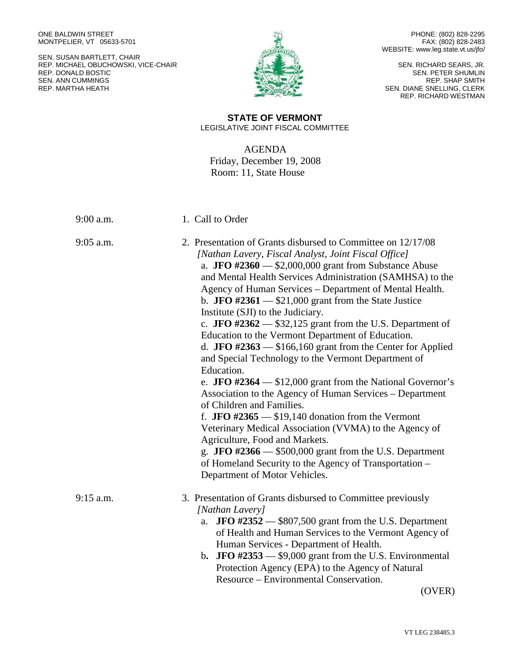ONE BALDWIN STREET MONTPELIER, VT 05633-5701

SEN. SUSAN BARTLETT, CHAIR REP. MICHAEL OBUCHOWSKI, VICE-CHAIR REP. DONALD BOSTIC SEN. ANN CUMMINGS REP. MARTHA HEATH



PHONE: (802) 828-2295 FAX: (802) 828-2483 WEBSITE: www.leg.state.vt.us/jfo/

SEN. RICHARD SEARS, JR. SEN. PETER SHUMLIN REP. SHAP SMITH SEN. DIANE SNELLING, CLERK REP. RICHARD WESTMAN

## **STATE OF VERMONT** LEGISLATIVE JOINT FISCAL COMMITTEE

AGENDA Friday, December 19, 2008 Room: 11, State House

| $9:00$ a.m. | 1. Call to Order                                                                                                                                                                                                                                                                                                                                                                                                                                                                                                                                                                                                                                                                                                                                                                                                                                                                                                                                                                                                                                                                                                                       |
|-------------|----------------------------------------------------------------------------------------------------------------------------------------------------------------------------------------------------------------------------------------------------------------------------------------------------------------------------------------------------------------------------------------------------------------------------------------------------------------------------------------------------------------------------------------------------------------------------------------------------------------------------------------------------------------------------------------------------------------------------------------------------------------------------------------------------------------------------------------------------------------------------------------------------------------------------------------------------------------------------------------------------------------------------------------------------------------------------------------------------------------------------------------|
| $9:05$ a.m. | 2. Presentation of Grants disbursed to Committee on 12/17/08<br>[Nathan Lavery, Fiscal Analyst, Joint Fiscal Office]<br>a. JFO $\#2360$ - \$2,000,000 grant from Substance Abuse<br>and Mental Health Services Administration (SAMHSA) to the<br>Agency of Human Services – Department of Mental Health.<br>b. JFO $\#2361$ - \$21,000 grant from the State Justice<br>Institute (SJI) to the Judiciary.<br>c. JFO #2362 $-$ \$32,125 grant from the U.S. Department of<br>Education to the Vermont Department of Education.<br>d. JFO #2363 $-$ \$166,160 grant from the Center for Applied<br>and Special Technology to the Vermont Department of<br>Education.<br>e. JFO #2364 $-$ \$12,000 grant from the National Governor's<br>Association to the Agency of Human Services - Department<br>of Children and Families.<br>f. JFO #2365 $-$ \$19,140 donation from the Vermont<br>Veterinary Medical Association (VVMA) to the Agency of<br>Agriculture, Food and Markets.<br>g. JFO $\#2366$ — \$500,000 grant from the U.S. Department<br>of Homeland Security to the Agency of Transportation –<br>Department of Motor Vehicles. |
| $9:15$ a.m. | 3. Presentation of Grants disbursed to Committee previously<br>[Nathan Lavery]<br>a. <b>JFO</b> $\#2352$ $-$ \$807,500 grant from the U.S. Department<br>of Health and Human Services to the Vermont Agency of<br>Human Services - Department of Health.<br>b. JFO $\#2353$ $-$ \$9,000 grant from the U.S. Environmental<br>Protection Agency (EPA) to the Agency of Natural<br>Resource – Environmental Conservation.                                                                                                                                                                                                                                                                                                                                                                                                                                                                                                                                                                                                                                                                                                                |

(OVER)